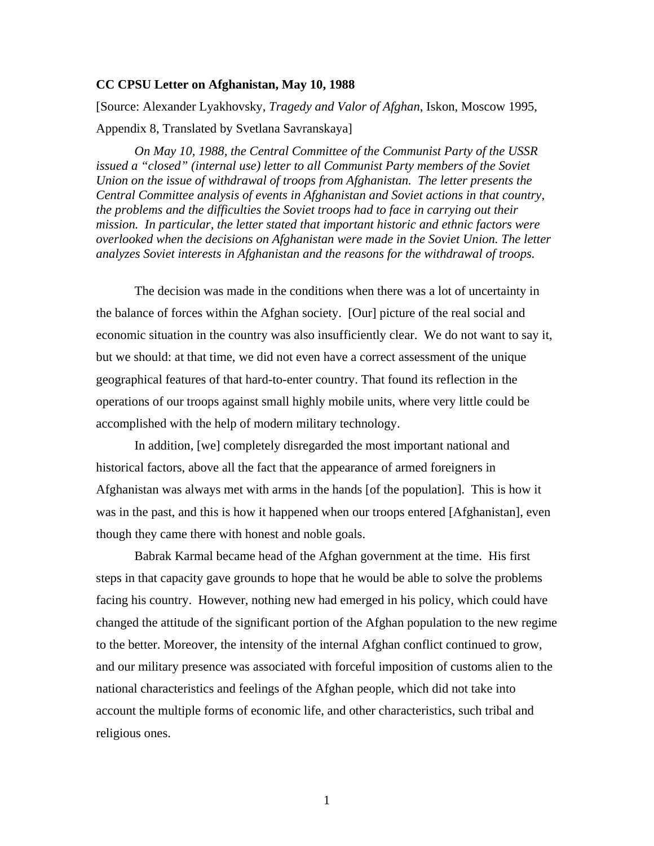## **CC CPSU Letter on Afghanistan, May 10, 1988**

[Source: Alexander Lyakhovsky, *Tragedy and Valor of Afghan*, Iskon, Moscow 1995, Appendix 8, Translated by Svetlana Savranskaya]

*On May 10, 1988, the Central Committee of the Communist Party of the USSR issued a "closed" (internal use) letter to all Communist Party members of the Soviet Union on the issue of withdrawal of troops from Afghanistan. The letter presents the Central Committee analysis of events in Afghanistan and Soviet actions in that country, the problems and the difficulties the Soviet troops had to face in carrying out their mission. In particular, the letter stated that important historic and ethnic factors were overlooked when the decisions on Afghanistan were made in the Soviet Union. The letter analyzes Soviet interests in Afghanistan and the reasons for the withdrawal of troops.* 

The decision was made in the conditions when there was a lot of uncertainty in the balance of forces within the Afghan society. [Our] picture of the real social and economic situation in the country was also insufficiently clear. We do not want to say it, but we should: at that time, we did not even have a correct assessment of the unique geographical features of that hard-to-enter country. That found its reflection in the operations of our troops against small highly mobile units, where very little could be accomplished with the help of modern military technology.

In addition, [we] completely disregarded the most important national and historical factors, above all the fact that the appearance of armed foreigners in Afghanistan was always met with arms in the hands [of the population]. This is how it was in the past, and this is how it happened when our troops entered [Afghanistan], even though they came there with honest and noble goals.

Babrak Karmal became head of the Afghan government at the time. His first steps in that capacity gave grounds to hope that he would be able to solve the problems facing his country. However, nothing new had emerged in his policy, which could have changed the attitude of the significant portion of the Afghan population to the new regime to the better. Moreover, the intensity of the internal Afghan conflict continued to grow, and our military presence was associated with forceful imposition of customs alien to the national characteristics and feelings of the Afghan people, which did not take into account the multiple forms of economic life, and other characteristics, such tribal and religious ones.

1